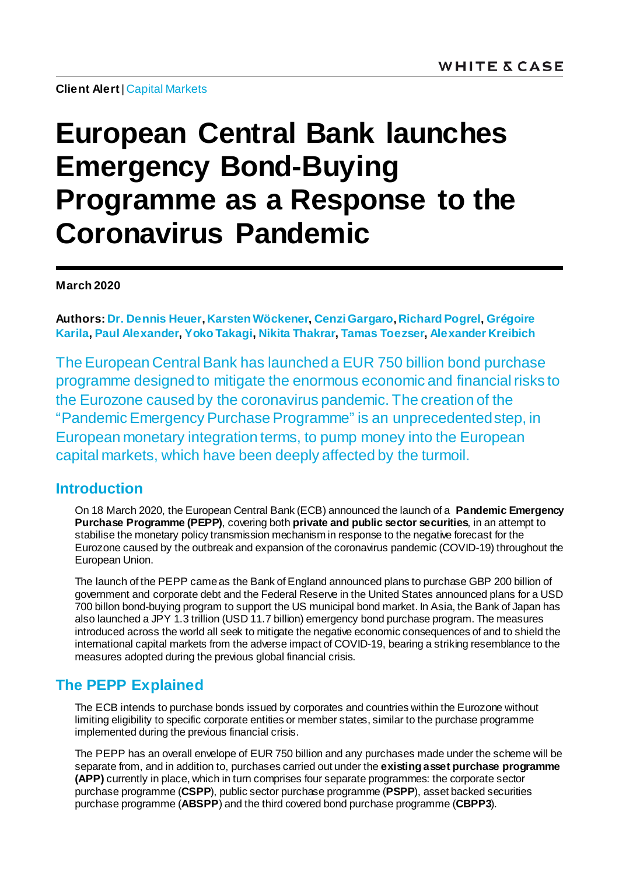**Client Alert**[| Capital Markets](https://www.whitecase.com/law/practices/capital-markets)

# **European Central Bank launches Emergency Bond-Buying Programme as a Response to the Coronavirus Pandemic**

#### **March 2020**

**Authors[: Dr. Dennis Heuer](https://www.whitecase.com/people/dennis-heuer)[, Karsten Wöckener](https://www.whitecase.com/people/karsten-wockener)[, Cenzi Gargaro](https://www.whitecase.com/people/cenzi-gargaro), [Richard Pogrel,](https://www.whitecase.com/people/richard-pogrel) [Grégoire](https://www.whitecase.com/people/gregoire-karila)  [Karila,](https://www.whitecase.com/people/gregoire-karila) [Paul Alexander](https://www.whitecase.com/people/paul-alexander)[, Yoko Takagi](https://www.whitecase.com/people/yoko-takagi)[, Nikita Thakrar](https://www.whitecase.com/people/nikita-thakrar)[, Tamas Toezser](mailto:tamas.toezser@whitecase.coom)[, Alexander Kreibich](https://www.whitecase.com/people/alexander-kreibich)**

The European Central Bank has launched a EUR 750 billion bond purchase programme designed to mitigate the enormous economic and financial risks to the Eurozone caused by the coronavirus pandemic. The creation of the "Pandemic Emergency Purchase Programme" is an unprecedented step, in European monetary integration terms, to pump money into the European capital markets, which have been deeply affected by the turmoil.

#### **Introduction**

On 18 March 2020, the European Central Bank (ECB) announced the launch of a **Pandemic Emergency Purchase Programme (PEPP)**, covering both **private and public sector securities**, in an attempt to stabilise the monetary policy transmission mechanism in response to the negative forecast for the Eurozone caused by the outbreak and expansion of the coronavirus pandemic (COVID-19) throughout the European Union.

The launch of the PEPP came as the Bank of England announced plans to purchase GBP 200 billion of government and corporate debt and the Federal Reserve in the United States announced plans for a USD 700 billon bond-buying program to support the US municipal bond market. In Asia, the Bank of Japan has also launched a JPY 1.3 trillion (USD 11.7 billion) emergency bond purchase program. The measures introduced across the world all seek to mitigate the negative economic consequences of and to shield the international capital markets from the adverse impact of COVID-19, bearing a striking resemblance to the measures adopted during the previous global financial crisis.

### **The PEPP Explained**

The ECB intends to purchase bonds issued by corporates and countries within the Eurozone without limiting eligibility to specific corporate entities or member states, similar to the purchase programme implemented during the previous financial crisis.

The PEPP has an overall envelope of EUR 750 billion and any purchases made under the scheme will be separate from, and in addition to, purchases carried out under the **existing asset purchase programme (APP)** currently in place, which in turn comprises four separate programmes: the corporate sector purchase programme (**CSPP**), public sector purchase programme (**PSPP**), asset backed securities purchase programme (**ABSPP**) and the third covered bond purchase programme (**CBPP3**).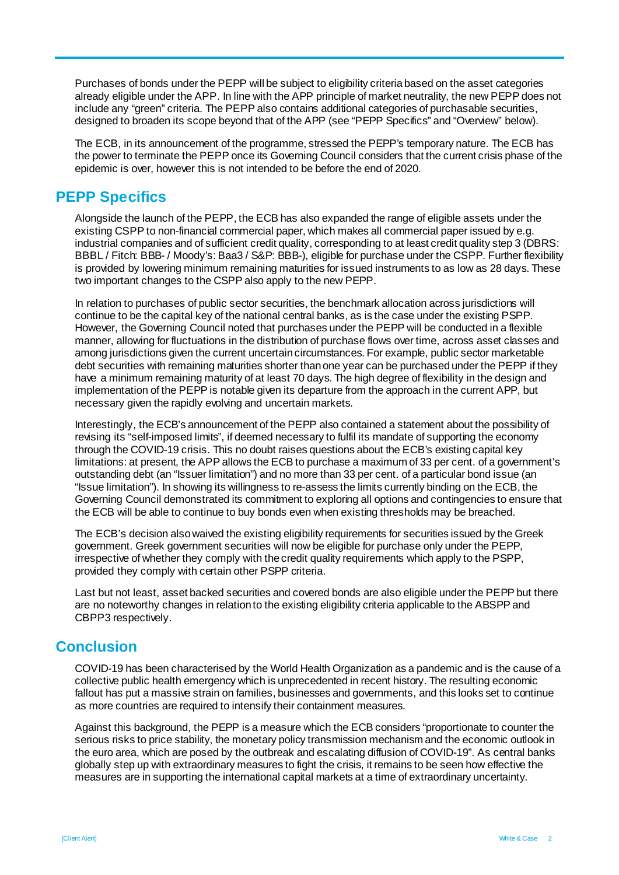Purchases of bonds under the PEPP will be subject to eligibility criteria based on the asset categories already eligible under the APP. In line with the APP principle of market neutrality, the new PEPP does not include any "green" criteria. The PEPP also contains additional categories of purchasable securities, designed to broaden its scope beyond that of the APP (see "PEPP Specifics" and "Overview" below).

The ECB, in its announcement of the programme, stressed the PEPP's temporary nature. The ECB has the power to terminate the PEPP once its Governing Council considers that the current crisis phase of the epidemic is over, however this is not intended to be before the end of 2020.

#### **PEPP Specifics**

Alongside the launch of the PEPP, the ECB has also expanded the range of eligible assets under the existing CSPP to non-financial commercial paper, which makes all commercial paper issued by e.g. industrial companies and of sufficient credit quality, corresponding to at least credit quality step 3 (DBRS: BBBL / Fitch: BBB- / Moody's: Baa3 / S&P: BBB-), eligible for purchase under the CSPP. Further flexibility is provided by lowering minimum remaining maturities for issued instruments to as low as 28 days. These two important changes to the CSPP also apply to the new PEPP.

In relation to purchases of public sector securities, the benchmark allocation across jurisdictions will continue to be the capital key of the national central banks, as is the case under the existing PSPP. However, the Governing Council noted that purchases under the PEPP will be conducted in a flexible manner, allowing for fluctuations in the distribution of purchase flows over time, across asset classes and among jurisdictions given the current uncertain circumstances. For example, public sector marketable debt securities with remaining maturities shorter than one year can be purchased under the PEPP if they have a minimum remaining maturity of at least 70 days. The high degree of flexibility in the design and implementation of the PEPP is notable given its departure from the approach in the current APP, but necessary given the rapidly evolving and uncertain markets.

Interestingly, the ECB's announcement of the PEPP also contained a statement about the possibility of revising its "self-imposed limits", if deemed necessary to fulfil its mandate of supporting the economy through the COVID-19 crisis. This no doubt raises questions about the ECB's existingcapital key limitations: at present, the APP allows the ECB to purchase a maximum of 33 per cent. of a government's outstanding debt (an "Issuer limitation") and no more than 33 per cent. of a particular bond issue (an "Issue limitation"). In showing its willingness to re-assess the limits currently binding on the ECB, the Governing Council demonstrated its commitment to exploring all options and contingencies to ensure that the ECB will be able to continue to buy bonds even when existing thresholds may be breached.

The ECB's decision also waived the existing eligibility requirements for securities issued by the Greek government. Greek government securities will now be eligible for purchase only under the PEPP, irrespective of whether they comply with the credit quality requirements which apply to the PSPP, provided they comply with certain other PSPP criteria.

Last but not least, asset backed securities and covered bonds are also eligible under the PEPP but there are no noteworthy changes in relation to the existing eligibility criteria applicable to the ABSPP and CBPP3 respectively.

### **Conclusion**

COVID-19 has been characterised by the World Health Organization as a pandemic and is the cause of a collective public health emergency which is unprecedented in recent history. The resulting economic fallout has put a massive strain on families, businesses and governments, and this looks set to continue as more countries are required to intensify their containment measures.

Against this background, the PEPP is a measure which the ECB considers "proportionate to counter the serious risks to price stability, the monetary policy transmission mechanism and the economic outlook in the euro area, which are posed by the outbreak and escalating diffusion of COVID-19". As central banks globally step up with extraordinary measures to fight the crisis, it remains to be seen how effective the measures are in supporting the international capital markets at a time of extraordinary uncertainty.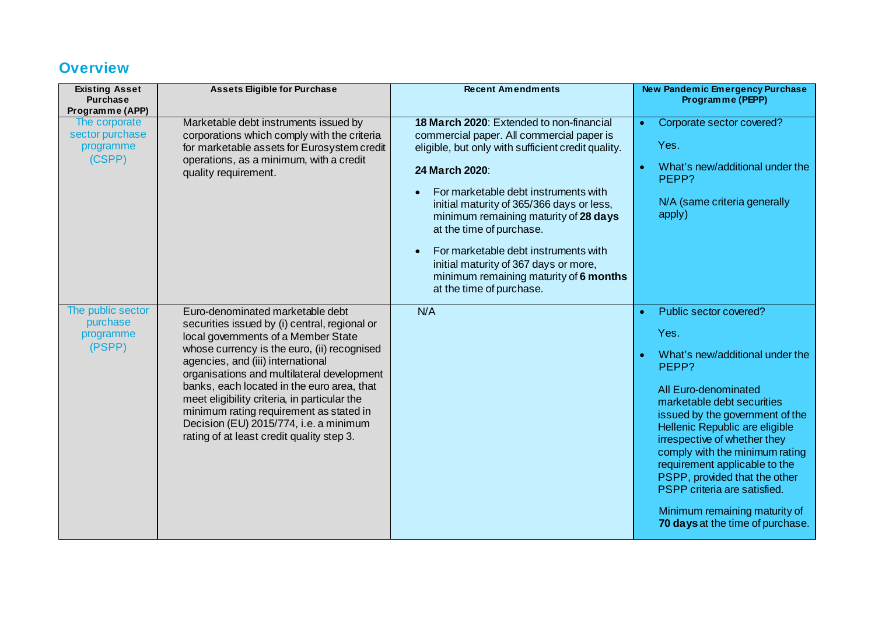## **Overview**

| <b>Existing Asset</b><br><b>Purchase</b><br>Programme (APP) | <b>Assets Eligible for Purchase</b>                                                                                                                                                                                                                                                                                                                                                                                                                                                        | <b>Recent Amendments</b>                                                                                                                                                                                                                                                                                                                                                                                                                                                       | <b>New Pandemic Emergency Purchase</b><br>Programme (PEPP)                                                                                                                                                                                                                                                                                                                                                                                                  |
|-------------------------------------------------------------|--------------------------------------------------------------------------------------------------------------------------------------------------------------------------------------------------------------------------------------------------------------------------------------------------------------------------------------------------------------------------------------------------------------------------------------------------------------------------------------------|--------------------------------------------------------------------------------------------------------------------------------------------------------------------------------------------------------------------------------------------------------------------------------------------------------------------------------------------------------------------------------------------------------------------------------------------------------------------------------|-------------------------------------------------------------------------------------------------------------------------------------------------------------------------------------------------------------------------------------------------------------------------------------------------------------------------------------------------------------------------------------------------------------------------------------------------------------|
| The corporate<br>sector purchase<br>programme<br>(CSPP)     | Marketable debt instruments issued by<br>corporations which comply with the criteria<br>for marketable assets for Eurosystem credit<br>operations, as a minimum, with a credit<br>quality requirement.                                                                                                                                                                                                                                                                                     | 18 March 2020: Extended to non-financial<br>commercial paper. All commercial paper is<br>eligible, but only with sufficient credit quality.<br>24 March 2020:<br>For marketable debt instruments with<br>initial maturity of 365/366 days or less,<br>minimum remaining maturity of 28 days<br>at the time of purchase.<br>For marketable debt instruments with<br>initial maturity of 367 days or more,<br>minimum remaining maturity of 6 months<br>at the time of purchase. | Corporate sector covered?<br>$\bullet$<br>Yes.<br>What's new/additional under the<br>٠<br>PEPP?<br>N/A (same criteria generally<br>apply)                                                                                                                                                                                                                                                                                                                   |
| The public sector<br>purchase<br>programme<br>(PSPP)        | Euro-denominated marketable debt<br>securities issued by (i) central, regional or<br>local governments of a Member State<br>whose currency is the euro, (ii) recognised<br>agencies, and (iii) international<br>organisations and multilateral development<br>banks, each located in the euro area, that<br>meet eligibility criteria, in particular the<br>minimum rating requirement as stated in<br>Decision (EU) 2015/774, i.e. a minimum<br>rating of at least credit quality step 3. | N/A                                                                                                                                                                                                                                                                                                                                                                                                                                                                            | Public sector covered?<br>$\bullet$<br>Yes.<br>What's new/additional under the<br>PEPP?<br>All Euro-denominated<br>marketable debt securities<br>issued by the government of the<br>Hellenic Republic are eligible<br>irrespective of whether they<br>comply with the minimum rating<br>requirement applicable to the<br>PSPP, provided that the other<br>PSPP criteria are satisfied.<br>Minimum remaining maturity of<br>70 days at the time of purchase. |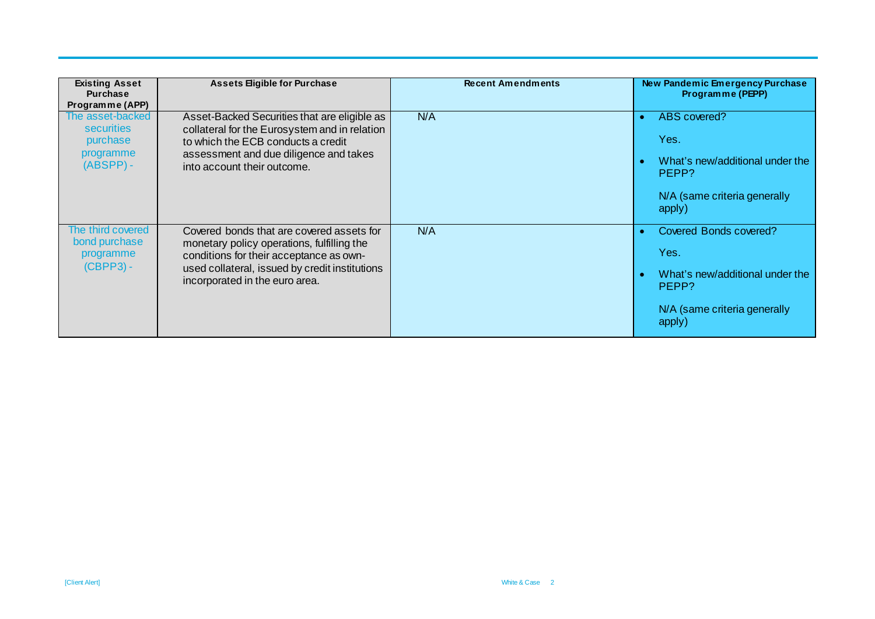| <b>Existing Asset</b><br><b>Purchase</b><br>Programme (APP)            | <b>Assets Eligible for Purchase</b>                                                                                                                                                                                    | <b>Recent Amendments</b> | New Pandemic Emergency Purchase<br>Programme (PEPP)                                                                  |
|------------------------------------------------------------------------|------------------------------------------------------------------------------------------------------------------------------------------------------------------------------------------------------------------------|--------------------------|----------------------------------------------------------------------------------------------------------------------|
| The asset-backed<br>securities<br>purchase<br>programme<br>$(ABSPP) -$ | Asset-Backed Securities that are eligible as<br>collateral for the Eurosystem and in relation<br>to which the ECB conducts a credit<br>assessment and due diligence and takes<br>into account their outcome.           | N/A                      | ABS covered?<br>Yes.<br>What's new/additional under the<br>PEPP?<br>N/A (same criteria generally<br>apply)           |
| The third covered<br>bond purchase<br>programme<br>(CBPP3) -           | Covered bonds that are covered assets for<br>monetary policy operations, fulfilling the<br>conditions for their acceptance as own-<br>used collateral, issued by credit institutions<br>incorporated in the euro area. | N/A                      | Covered Bonds covered?<br>Yes.<br>What's new/additional under the<br>PEPP?<br>N/A (same criteria generally<br>apply) |